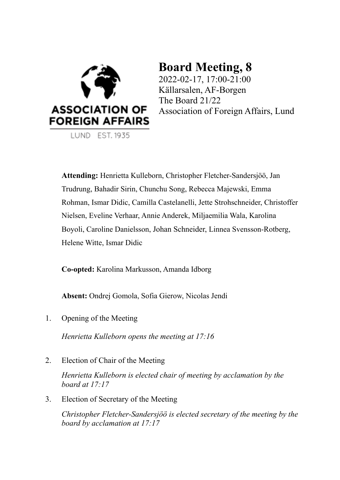

LUND EST. 1935

# **Board Meeting, 8**

2022-02-17, 17:00-21:00 Källarsalen, AF-Borgen The Board 21/22 Association of Foreign Affairs, Lund

**Attending:** Henrietta Kulleborn, Christopher Fletcher-Sandersjöö, Jan Trudrung, Bahadir Sirin, Chunchu Song, Rebecca Majewski, Emma Rohman, Ismar Didic, Camilla Castelanelli, Jette Strohschneider, Christoffer Nielsen, Eveline Verhaar, Annie Anderek, Miljaemilia Wala, Karolina Boyoli, Caroline Danielsson, Johan Schneider, Linnea Svensson-Rotberg, Helene Witte, Ismar Didic

**Co-opted:** Karolina Markusson, Amanda Idborg

**Absent:** Ondrej Gomola, Sofia Gierow, Nicolas Jendi

1. Opening of the Meeting

*Henrietta Kulleborn opens the meeting at 17:16*

2. Election of Chair of the Meeting

*Henrietta Kulleborn is elected chair of meeting by acclamation by the board at 17:17*

3. Election of Secretary of the Meeting

*Christopher Fletcher-Sandersjöö is elected secretary of the meeting by the board by acclamation at 17:17*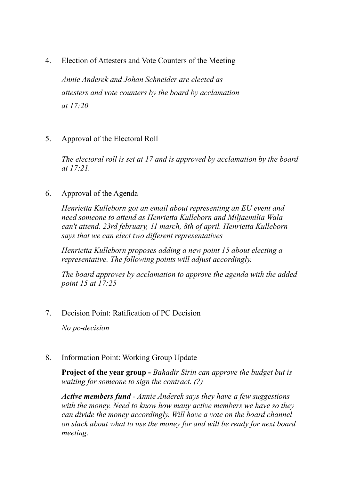4. Election of Attesters and Vote Counters of the Meeting

*Annie Anderek and Johan Schneider are elected as attesters and vote counters by the board by acclamation at 17:20*

5. Approval of the Electoral Roll

*The electoral roll is set at 17 and is approved by acclamation by the board at 17:21.*

6. Approval of the Agenda

*Henrietta Kulleborn got an email about representing an EU event and need someone to attend as Henrietta Kulleborn and Miljaemilia Wala can't attend. 23rd february, 11 march, 8th of april. Henrietta Kulleborn says that we can elect two dif erent representatives*

*Henrietta Kulleborn proposes adding a new point 15 about electing a representative. The following points will adjust accordingly.*

*The board approves by acclamation to approve the agenda with the added point 15 at 17:25*

7. Decision Point: Ratification of PC Decision

*No pc-decision*

8. Information Point: Working Group Update

**Project of the year group -** *Bahadir Sirin can approve the budget but is waiting for someone to sign the contract. (?)*

*Active members fund - Annie Anderek says they have a few suggestions with the money. Need to know how many active members we have so they can divide the money accordingly. Will have a vote on the board channel on slack about what to use the money for and will be ready for next board meeting.*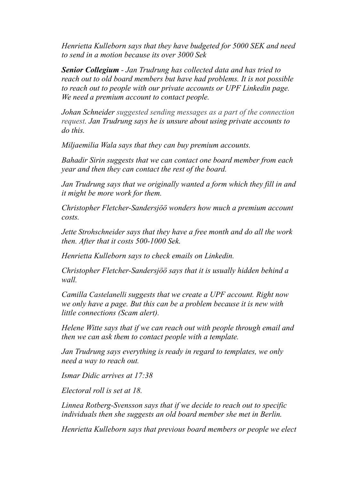*Henrietta Kulleborn says that they have budgeted for 5000 SEK and need to send in a motion because its over 3000 Sek*

*Senior Collegium - Jan Trudrung has collected data and has tried to reach out to old board members but have had problems. It is not possible to reach out to people with our private accounts or UPF Linkedin page. We need a premium account to contact people.*

*Johan Schneider suggested sending messages as a part of the connection request. Jan Trudrung says he is unsure about using private accounts to do this.*

*Miljaemilia Wala says that they can buy premium accounts.*

*Bahadir Sirin suggests that we can contact one board member from each year and then they can contact the rest of the board.*

*Jan Trudrung says that we originally wanted a form which they fill in and it might be more work for them.*

*Christopher Fletcher-Sandersjöö wonders how much a premium account costs.*

*Jette Strohschneider says that they have a free month and do all the work then. After that it costs 500-1000 Sek.*

*Henrietta Kulleborn says to check emails on Linkedin.*

*Christopher Fletcher-Sandersjöö says that it is usually hidden behind a wall.*

*Camilla Castelanelli suggests that we create a UPF account. Right now we only have a page. But this can be a problem because it is new with little connections (Scam alert).*

*Helene Witte says that if we can reach out with people through email and then we can ask them to contact people with a template.*

*Jan Trudrung says everything is ready in regard to templates, we only need a way to reach out.*

*Ismar Didic arrives at 17:38*

*Electoral roll is set at 18.*

*Linnea Rotberg-Svensson says that if we decide to reach out to specific individuals then she suggests an old board member she met in Berlin.*

*Henrietta Kulleborn says that previous board members or people we elect*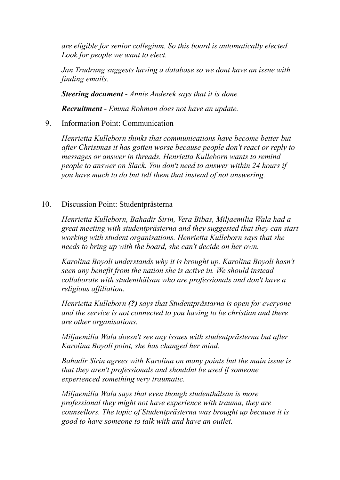*are eligible for senior collegium. So this board is automatically elected. Look for people we want to elect.*

*Jan Trudrung suggests having a database so we dont have an issue with finding emails.*

*Steering document - Annie Anderek says that it is done.*

*Recruitment - Emma Rohman does not have an update.*

9. Information Point: Communication

*Henrietta Kulleborn thinks that communications have become better but after Christmas it has gotten worse because people don't react or reply to messages or answer in threads. Henrietta Kulleborn wants to remind people to answer on Slack. You don't need to answer within 24 hours if you have much to do but tell them that instead of not answering.*

## 10. Discussion Point: Studentprästerna

*Henrietta Kulleborn, Bahadir Sirin, Vera Bibas, Miljaemilia Wala had a great meeting with studentprästerna and they suggested that they can start working with student organisations. Henrietta Kulleborn says that she needs to bring up with the board, she can't decide on her own.*

*Karolina Boyoli understands why it is brought up. Karolina Boyoli hasn't seen any benefit from the nation she is active in. We should instead collaborate with studenthälsan who are professionals and don't have a religious af iliation.*

*Henrietta Kulleborn (?) says that Studentprästarna is open for everyone and the service is not connected to you having to be christian and there are other organisations.*

*Miljaemilia Wala doesn't see any issues with studentprästerna but after Karolina Boyoli point, she has changed her mind.*

*Bahadir Sirin agrees with Karolina on many points but the main issue is that they aren't professionals and shouldnt be used if someone experienced something very traumatic.*

*Miljaemilia Wala says that even though studenthälsan is more professional they might not have experience with trauma, they are counsellors. The topic of Studentprästerna was brought up because it is good to have someone to talk with and have an outlet.*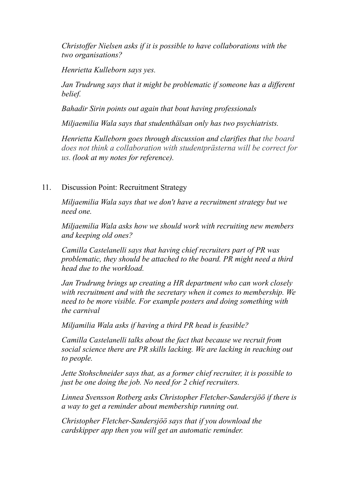*Christoffer Nielsen asks if it is possible to have collaborations with the two organisations?*

*Henrietta Kulleborn says yes.*

*Jan Trudrung says that it might be problematic if someone has a dif erent belief.*

*Bahadir Sirin points out again that bout having professionals*

*Miljaemilia Wala says that studenthälsan only has two psychiatrists.*

*Henrietta Kulleborn goes through discussion and clarifies that the board does not think a collaboration with studentprästerna will be correct for us. (look at my notes for reference).*

## 11. Discussion Point: Recruitment Strategy

*Miljaemilia Wala says that we don't have a recruitment strategy but we need one.*

*Miljaemilia Wala asks how we should work with recruiting new members and keeping old ones?*

*Camilla Castelanelli says that having chief recruiters part of PR was problematic, they should be attached to the board. PR might need a third head due to the workload.*

*Jan Trudrung brings up creating a HR department who can work closely with recruitment and with the secretary when it comes to membership. We need to be more visible. For example posters and doing something with the carnival*

*Miljamilia Wala asks if having a third PR head is feasible?*

*Camilla Castelanelli talks about the fact that because we recruit from social science there are PR skills lacking. We are lacking in reaching out to people.*

*Jette Stohschneider says that, as a former chief recruiter, it is possible to just be one doing the job. No need for 2 chief recruiters.*

*Linnea Svensson Rotberg asks Christopher Fletcher-Sandersjöö if there is a way to get a reminder about membership running out.*

*Christopher Fletcher-Sandersjöö says that if you download the cardskipper app then you will get an automatic reminder.*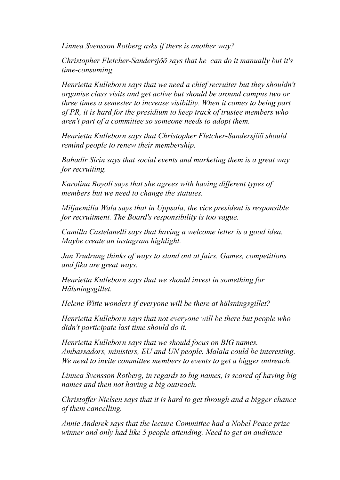*Linnea Svensson Rotberg asks if there is another way?*

*Christopher Fletcher-Sandersjöö says that he can do it manually but it's time-consuming.*

*Henrietta Kulleborn says that we need a chief recruiter but they shouldn't organise class visits and get active but should be around campus two or three times a semester to increase visibility. When it comes to being part of PR, it is hard for the presidium to keep track of trustee members who aren't part of a committee so someone needs to adopt them.*

*Henrietta Kulleborn says that Christopher Fletcher-Sandersjöö should remind people to renew their membership.*

*Bahadir Sirin says that social events and marketing them is a great way for recruiting.*

*Karolina Boyoli says that she agrees with having dif erent types of members but we need to change the statutes.*

*Miljaemilia Wala says that in Uppsala, the vice president is responsible for recruitment. The Board's responsibility is too vague.*

*Camilla Castelanelli says that having a welcome letter is a good idea. Maybe create an instagram highlight.*

*Jan Trudrung thinks of ways to stand out at fairs. Games, competitions and fika are great ways.*

*Henrietta Kulleborn says that we should invest in something for Hälsningsgillet.*

*Helene Witte wonders if everyone will be there at hälsningsgillet?*

*Henrietta Kulleborn says that not everyone will be there but people who didn't participate last time should do it.*

*Henrietta Kulleborn says that we should focus on BIG names. Ambassadors, ministers, EU and UN people. Malala could be interesting. We need to invite committee members to events to get a bigger outreach.*

*Linnea Svensson Rotberg, in regards to big names, is scared of having big names and then not having a big outreach.*

*Christof er Nielsen says that it is hard to get through and a bigger chance of them cancelling.*

*Annie Anderek says that the lecture Committee had a Nobel Peace prize winner and only had like 5 people attending. Need to get an audience*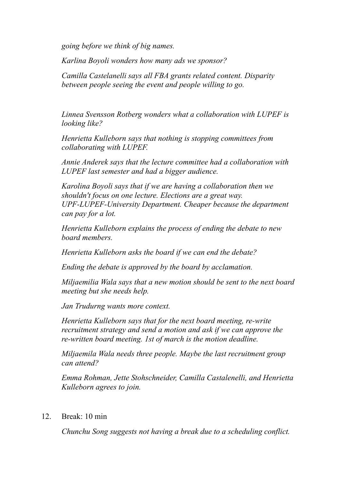*going before we think of big names.*

*Karlina Boyoli wonders how many ads we sponsor?*

*Camilla Castelanelli says all FBA grants related content. Disparity between people seeing the event and people willing to go.*

*Linnea Svensson Rotberg wonders what a collaboration with LUPEF is looking like?*

*Henrietta Kulleborn says that nothing is stopping committees from collaborating with LUPEF.*

*Annie Anderek says that the lecture committee had a collaboration with LUPEF last semester and had a bigger audience.*

*Karolina Boyoli says that if we are having a collaboration then we shouldn't focus on one lecture. Elections are a great way. UPF-LUPEF-University Department. Cheaper because the department can pay for a lot.*

*Henrietta Kulleborn explains the process of ending the debate to new board members.*

*Henrietta Kulleborn asks the board if we can end the debate?*

*Ending the debate is approved by the board by acclamation.*

*Miljaemilia Wala says that a new motion should be sent to the next board meeting but she needs help.*

*Jan Trudurng wants more context.*

*Henrietta Kulleborn says that for the next board meeting, re-write recruitment strategy and send a motion and ask if we can approve the re-written board meeting. 1st of march is the motion deadline.*

*Miljaemila Wala needs three people. Maybe the last recruitment group can attend?*

*Emma Rohman, Jette Stohschneider, Camilla Castalenelli, and Henrietta Kulleborn agrees to join.*

12. Break: 10 min

*Chunchu Song suggests not having a break due to a scheduling conflict.*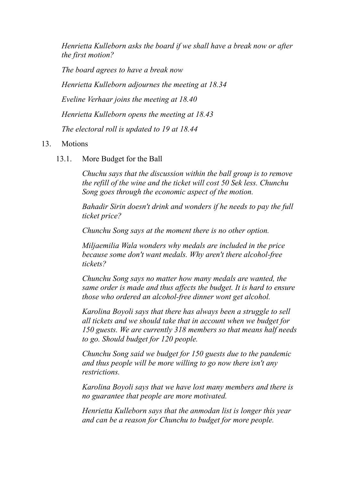*Henrietta Kulleborn asks the board if we shall have a break now or after the first motion?*

*The board agrees to have a break now Henrietta Kulleborn adjournes the meeting at 18.34 Eveline Verhaar joins the meeting at 18.40 Henrietta Kulleborn opens the meeting at 18.43 The electoral roll is updated to 19 at 18.44*

## 13. Motions

13.1. More Budget for the Ball

*Chuchu says that the discussion within the ball group is to remove the refill of the wine and the ticket will cost 50 Sek less. Chunchu Song goes through the economic aspect of the motion.*

*Bahadir Sirin doesn't drink and wonders if he needs to pay the full ticket price?*

*Chunchu Song says at the moment there is no other option.*

*Miljaemilia Wala wonders why medals are included in the price because some don't want medals. Why aren't there alcohol-free tickets?*

*Chunchu Song says no matter how many medals are wanted, the same order is made and thus af ects the budget. It is hard to ensure those who ordered an alcohol-free dinner wont get alcohol.*

*Karolina Boyoli says that there has always been a struggle to sell all tickets and we should take that in account when we budget for 150 guests. We are currently 318 members so that means half needs to go. Should budget for 120 people.*

*Chunchu Song said we budget for 150 guests due to the pandemic and thus people will be more willing to go now there isn't any restrictions.*

*Karolina Boyoli says that we have lost many members and there is no guarantee that people are more motivated.*

*Henrietta Kulleborn says that the anmodan list is longer this year and can be a reason for Chunchu to budget for more people.*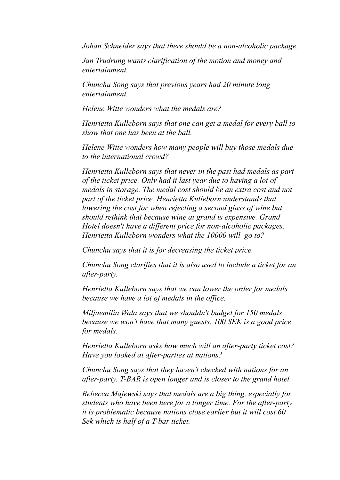*Johan Schneider says that there should be a non-alcoholic package.*

*Jan Trudrung wants clarification of the motion and money and entertainment.*

*Chunchu Song says that previous years had 20 minute long entertainment.*

*Helene Witte wonders what the medals are?*

*Henrietta Kulleborn says that one can get a medal for every ball to show that one has been at the ball.*

*Helene Witte wonders how many people will buy those medals due to the international crowd?*

*Henrietta Kulleborn says that never in the past had medals as part of the ticket price. Only had it last year due to having a lot of medals in storage. The medal cost should be an extra cost and not part of the ticket price. Henrietta Kulleborn understands that lowering the cost for when rejecting a second glass of wine but should rethink that because wine at grand is expensive. Grand Hotel doesn't have a dif erent price for non-alcoholic packages. Henrietta Kulleborn wonders what the 10000 will go to?*

*Chunchu says that it is for decreasing the ticket price.*

*Chunchu Song clarifies that it is also used to include a ticket for an after-party.*

*Henrietta Kulleborn says that we can lower the order for medals because we have a lot of medals in the of ice.*

*Miljaemilia Wala says that we shouldn't budget for 150 medals because we won't have that many guests. 100 SEK is a good price for medals.*

*Henrietta Kulleborn asks how much will an after-party ticket cost? Have you looked at after-parties at nations?*

*Chunchu Song says that they haven't checked with nations for an after-party. T-BAR is open longer and is closer to the grand hotel.*

*Rebecca Majewski says that medals are a big thing, especially for students who have been here for a longer time. For the after-party it is problematic because nations close earlier but it will cost 60 Sek which is half of a T-bar ticket.*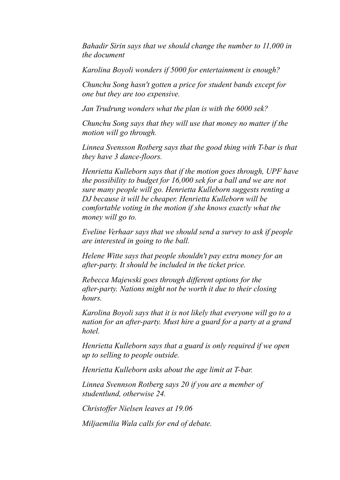*Bahadir Sirin says that we should change the number to 11,000 in the document*

*Karolina Boyoli wonders if 5000 for entertainment is enough?*

*Chunchu Song hasn't gotten a price for student bands except for one but they are too expensive.*

*Jan Trudrung wonders what the plan is with the 6000 sek?*

*Chunchu Song says that they will use that money no matter if the motion will go through.*

*Linnea Svensson Rotberg says that the good thing with T-bar is that they have 3 dance-floors.*

*Henrietta Kulleborn says that if the motion goes through, UPF have the possibility to budget for 16,000 sek for a ball and we are not sure many people will go. Henrietta Kulleborn suggests renting a DJ because it will be cheaper. Henrietta Kulleborn will be comfortable voting in the motion if she knows exactly what the money will go to.*

*Eveline Verhaar says that we should send a survey to ask if people are interested in going to the ball.*

*Helene Witte says that people shouldn't pay extra money for an after-party. It should be included in the ticket price.*

*Rebecca Majewski goes through dif erent options for the after-party. Nations might not be worth it due to their closing hours.*

*Karolina Boyoli says that it is not likely that everyone will go to a nation for an after-party. Must hire a guard for a party at a grand hotel.*

*Henrietta Kulleborn says that a guard is only required if we open up to selling to people outside.*

*Henrietta Kulleborn asks about the age limit at T-bar.*

*Linnea Svennson Rotberg says 20 if you are a member of studentlund, otherwise 24.*

*Christof er Nielsen leaves at 19.06*

*Miljaemilia Wala calls for end of debate.*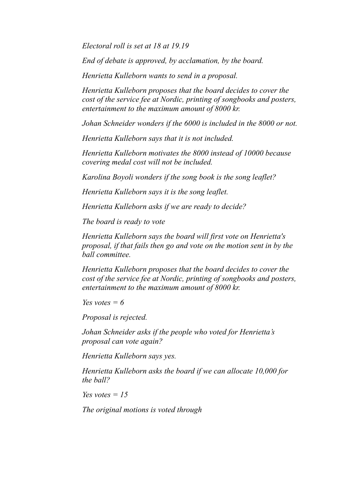*Electoral roll is set at 18 at 19.19*

*End of debate is approved, by acclamation, by the board.*

*Henrietta Kulleborn wants to send in a proposal.*

*Henrietta Kulleborn proposes that the board decides to cover the cost of the service fee at Nordic, printing of songbooks and posters, entertainment to the maximum amount of 8000 kr.*

*Johan Schneider wonders if the 6000 is included in the 8000 or not.*

*Henrietta Kulleborn says that it is not included.*

*Henrietta Kulleborn motivates the 8000 instead of 10000 because covering medal cost will not be included.*

*Karolina Boyoli wonders if the song book is the song leaflet?*

*Henrietta Kulleborn says it is the song leaflet.*

*Henrietta Kulleborn asks if we are ready to decide?*

*The board is ready to vote*

*Henrietta Kulleborn says the board will first vote on Henrietta's proposal, if that fails then go and vote on the motion sent in by the ball committee.*

*Henrietta Kulleborn proposes that the board decides to cover the cost of the service fee at Nordic, printing of songbooks and posters, entertainment to the maximum amount of 8000 kr.*

*Yes votes*  $= 6$ 

*Proposal is rejected.*

*Johan Schneider asks if the people who voted for Henrietta's proposal can vote again?*

*Henrietta Kulleborn says yes.*

*Henrietta Kulleborn asks the board if we can allocate 10,000 for the ball?*

*Yes votes = 15*

*The original motions is voted through*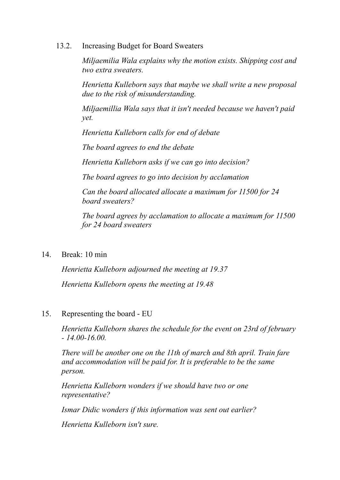13.2. Increasing Budget for Board Sweaters

*Miljaemilia Wala explains why the motion exists. Shipping cost and two extra sweaters.*

*Henrietta Kulleborn says that maybe we shall write a new proposal due to the risk of misunderstanding.*

*Miljaemillia Wala says that it isn't needed because we haven't paid yet.*

*Henrietta Kulleborn calls for end of debate*

*The board agrees to end the debate*

*Henrietta Kulleborn asks if we can go into decision?*

*The board agrees to go into decision by acclamation*

*Can the board allocated allocate a maximum for 11500 for 24 board sweaters?*

*The board agrees by acclamation to allocate a maximum for 11500 for 24 board sweaters*

14. Break: 10 min

*Henrietta Kulleborn adjourned the meeting at 19.37 Henrietta Kulleborn opens the meeting at 19.48*

15. Representing the board - EU

*Henrietta Kulleborn shares the schedule for the event on 23rd of february - 14.00-16.00.*

*There will be another one on the 11th of march and 8th april. Train fare and accommodation will be paid for. It is preferable to be the same person.*

*Henrietta Kulleborn wonders if we should have two or one representative?*

*Ismar Didic wonders if this information was sent out earlier?*

*Henrietta Kulleborn isn't sure.*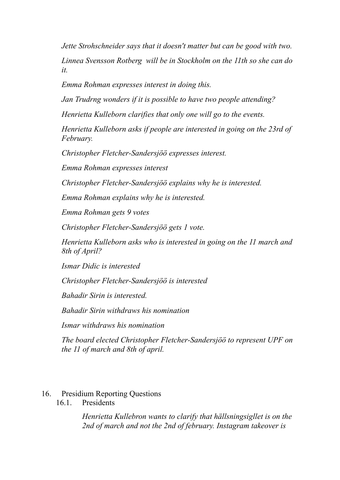*Jette Strohschneider says that it doesn't matter but can be good with two. Linnea Svensson Rotberg will be in Stockholm on the 11th so she can do it.*

*Emma Rohman expresses interest in doing this.*

*Jan Trudrng wonders if it is possible to have two people attending?*

*Henrietta Kulleborn clarifies that only one will go to the events.*

*Henrietta Kulleborn asks if people are interested in going on the 23rd of February.*

*Christopher Fletcher-Sandersjöö expresses interest.*

*Emma Rohman expresses interest*

*Christopher Fletcher-Sandersjöö explains why he is interested.*

*Emma Rohman explains why he is interested.*

*Emma Rohman gets 9 votes*

*Christopher Fletcher-Sandersjöö gets 1 vote.*

*Henrietta Kulleborn asks who is interested in going on the 11 march and 8th of April?*

*Ismar Didic is interested*

*Christopher Fletcher-Sandersjöö is interested*

*Bahadir Sirin is interested.*

*Bahadir Sirin withdraws his nomination*

*Ismar withdraws his nomination*

*The board elected Christopher Fletcher-Sandersjöö to represent UPF on the 11 of march and 8th of april.*

#### 16. Presidium Reporting Questions

16.1. Presidents

*Henrietta Kullebron wants to clarify that hällsningsigllet is on the 2nd of march and not the 2nd of february. Instagram takeover is*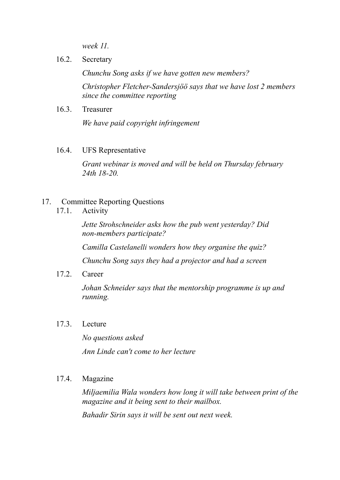*week 11.*

16.2. Secretary

*Chunchu Song asks if we have gotten new members? Christopher Fletcher-Sandersjöö says that we have lost 2 members since the committee reporting*

16.3. Treasurer

*We have paid copyright infringement*

16.4. UFS Representative

*Grant webinar is moved and will be held on Thursday february 24th 18-20.*

- 17. Committee Reporting Questions
	- 17.1. Activity

*Jette Strohschneider asks how the pub went yesterday? Did non-members participate?*

*Camilla Castelanelli wonders how they organise the quiz?*

*Chunchu Song says they had a projector and had a screen*

17.2. Career

*Johan Schneider says that the mentorship programme is up and running.*

17.3. Lecture

*No questions asked Ann Linde can't come to her lecture*

## 17.4. Magazine

*Miljaemilia Wala wonders how long it will take between print of the magazine and it being sent to their mailbox.*

*Bahadir Sirin says it will be sent out next week.*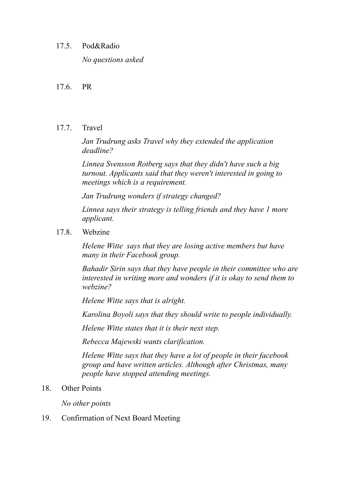### 17.5. Pod&Radio

*No questions asked*

## 17.6. PR

## 17.7. Travel

*Jan Trudrung asks Travel why they extended the application deadline?*

*Linnea Svensson Rotberg says that they didn't have such a big turnout. Applicants said that they weren't interested in going to meetings which is a requirement.*

*Jan Trudrung wonders if strategy changed?*

*Linnea says their strategy is telling friends and they have 1 more applicant.*

17.8. Webzine

*Helene Witte says that they are losing active members but have many in their Facebook group.*

*Bahadir Sirin says that they have people in their committee who are interested in writing more and wonders if it is okay to send them to webzine?*

*Helene Witte says that is alright.*

*Karolina Boyoli says that they should write to people individually.*

*Helene Witte states that it is their next step.*

*Rebecca Majewski wants clarification.*

*Helene Witte says that they have a lot of people in their facebook group and have written articles. Although after Christmas, many people have stopped attending meetings.*

18. Other Points

*No other points*

19. Confirmation of Next Board Meeting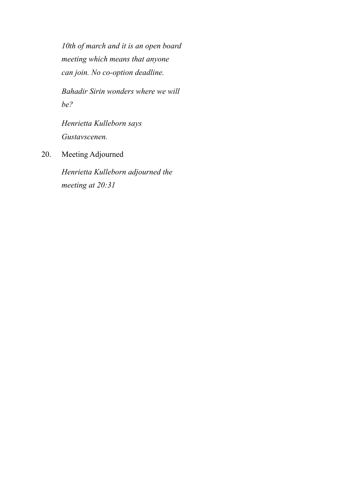*10th of march and it is an open board meeting which means that anyone can join. No co-option deadline.*

*Bahadir Sirin wonders where we will be?*

*Henrietta Kulleborn says Gustavscenen.*

20. Meeting Adjourned

*Henrietta Kulleborn adjourned the meeting at 20:31*